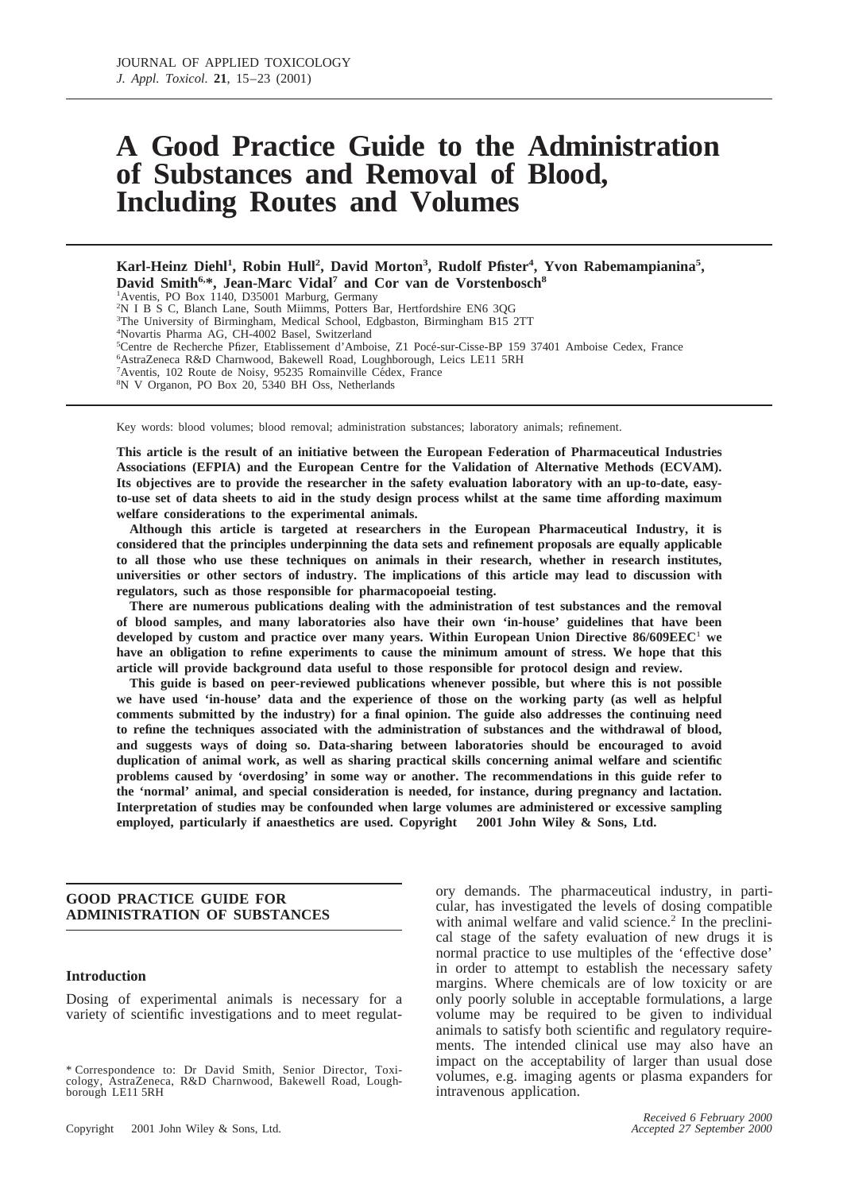# **A Good Practice Guide to the Administration of Substances and Removal of Blood, Including Routes and Volumes**

Karl-Heinz Diehl<sup>1</sup>, Robin Hull<sup>2</sup>, David Morton<sup>3</sup>, Rudolf Pfister<sup>4</sup>, Yvon Rabemampianina<sup>5</sup>, **David Smith6,\*, Jean-Marc Vidal7 and Cor van de Vorstenbosch<sup>8</sup>**

1 Aventis, PO Box 1140, D35001 Marburg, Germany 2 N I B S C, Blanch Lane, South Miimms, Potters Bar, Hertfordshire EN6 3QG

<sup>3</sup>The University of Birmingham, Medical School, Edgbaston, Birmingham B15 2TT

4 Novartis Pharma AG, CH-4002 Basel, Switzerland

<sup>5</sup>Centre de Recherche Pfizer, Etablissement d'Amboise, Z1 Pocé-sur-Cisse-BP 159 37401 Amboise Cedex, France 64 etraZeneca R&D Charnwood, Bakewell Road, Loughborough Leics LE11 5RH

AstraZeneca R&D Charnwood, Bakewell Road, Loughborough, Leics LE11 5RH

 $\frac{7}{2}$ Aventis, 102 Route de Noisy, 95235 Romainville Cédex, France  $\frac{8N}{2}$  V Organon, PO Box 20, 5340 BH Oss, Netherlands

N V Organon, PO Box 20, 5340 BH Oss, Netherlands

Key words: blood volumes; blood removal; administration substances; laboratory animals; refinement.

**This article is the result of an initiative between the European Federation of Pharmaceutical Industries Associations (EFPIA) and the European Centre for the Validation of Alternative Methods (ECVAM). Its objectives are to provide the researcher in the safety evaluation laboratory with an up-to-date, easyto-use set of data sheets to aid in the study design process whilst at the same time affording maximum welfare considerations to the experimental animals.**

**Although this article is targeted at researchers in the European Pharmaceutical Industry, it is considered that the principles underpinning the data sets and refinement proposals are equally applicable to all those who use these techniques on animals in their research, whether in research institutes, universities or other sectors of industry. The implications of this article may lead to discussion with regulators, such as those responsible for pharmacopoeial testing.**

**There are numerous publications dealing with the administration of test substances and the removal of blood samples, and many laboratories also have their own 'in-house' guidelines that have been developed by custom and practice over many years. Within European Union Directive 86/609EEC**<sup>1</sup> **we have an obligation to refine experiments to cause the minimum amount of stress. We hope that this article will provide background data useful to those responsible for protocol design and review.**

**This guide is based on peer-reviewed publications whenever possible, but where this is not possible we have used 'in-house' data and the experience of those on the working party (as well as helpful comments submitted by the industry) for a final opinion. The guide also addresses the continuing need to refine the techniques associated with the administration of substances and the withdrawal of blood, and suggests ways of doing so. Data-sharing between laboratories should be encouraged to avoid duplication of animal work, as well as sharing practical skills concerning animal welfare and scientific problems caused by 'overdosing' in some way or another. The recommendations in this guide refer to the 'normal' animal, and special consideration is needed, for instance, during pregnancy and lactation. Interpretation of studies may be confounded when large volumes are administered or excessive sampling employed, particularly if anaesthetics are used. Copyright 2001 John Wiley & Sons, Ltd.**

## **GOOD PRACTICE GUIDE FOR ADMINISTRATION OF SUBSTANCES**

## **Introduction**

Dosing of experimental animals is necessary for a variety of scientific investigations and to meet regulatory demands. The pharmaceutical industry, in particular, has investigated the levels of dosing compatible with animal welfare and valid science.<sup>2</sup> In the preclinical stage of the safety evaluation of new drugs it is normal practice to use multiples of the 'effective dose' in order to attempt to establish the necessary safety margins. Where chemicals are of low toxicity or are only poorly soluble in acceptable formulations, a large volume may be required to be given to individual animals to satisfy both scientific and regulatory requirements. The intended clinical use may also have an impact on the acceptability of larger than usual dose volumes, e.g. imaging agents or plasma expanders for intravenous application.

<sup>\*</sup> Correspondence to: Dr David Smith, Senior Director, Toxicology, AstraZeneca, R&D Charnwood, Bakewell Road, Loughborough LE11 5RH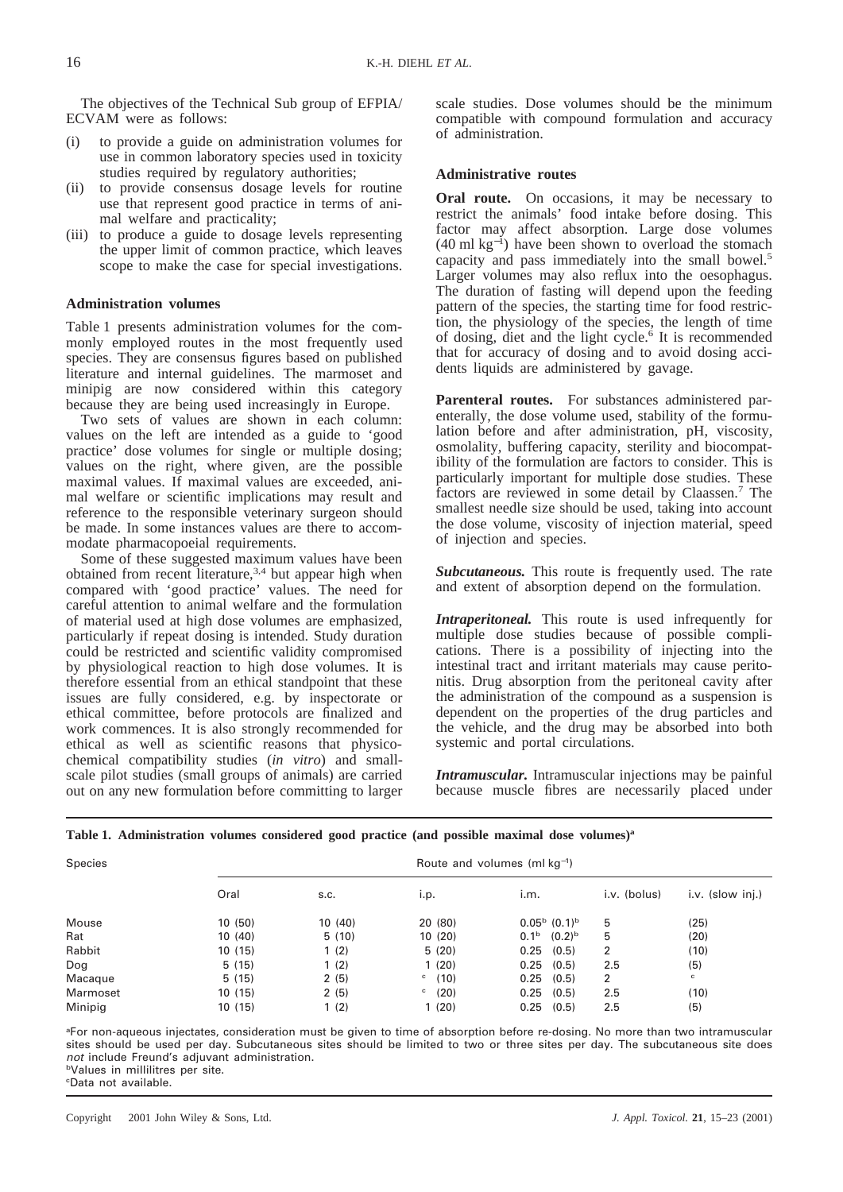The objectives of the Technical Sub group of EFPIA/ ECVAM were as follows:

- (i) to provide a guide on administration volumes for use in common laboratory species used in toxicity studies required by regulatory authorities;
- (ii) to provide consensus dosage levels for routine use that represent good practice in terms of animal welfare and practicality;
- (iii) to produce a guide to dosage levels representing the upper limit of common practice, which leaves scope to make the case for special investigations.

# **Administration volumes**

Table 1 presents administration volumes for the commonly employed routes in the most frequently used species. They are consensus figures based on published literature and internal guidelines. The marmoset and minipig are now considered within this category because they are being used increasingly in Europe.

Two sets of values are shown in each column: values on the left are intended as a guide to 'good practice' dose volumes for single or multiple dosing; values on the right, where given, are the possible maximal values. If maximal values are exceeded, animal welfare or scientific implications may result and reference to the responsible veterinary surgeon should be made. In some instances values are there to accommodate pharmacopoeial requirements.

Some of these suggested maximum values have been obtained from recent literature, $3,4$  but appear high when compared with 'good practice' values. The need for careful attention to animal welfare and the formulation of material used at high dose volumes are emphasized, particularly if repeat dosing is intended. Study duration could be restricted and scientific validity compromised by physiological reaction to high dose volumes. It is therefore essential from an ethical standpoint that these issues are fully considered, e.g. by inspectorate or ethical committee, before protocols are finalized and work commences. It is also strongly recommended for ethical as well as scientific reasons that physicochemical compatibility studies (*in vitro*) and smallscale pilot studies (small groups of animals) are carried out on any new formulation before committing to larger scale studies. Dose volumes should be the minimum compatible with compound formulation and accuracy of administration.

# **Administrative routes**

**Oral route.** On occasions, it may be necessary to restrict the animals' food intake before dosing. This factor may affect absorption. Large dose volumes  $(40 \text{ ml kg}^{-1})$  have been shown to overload the stomach capacity and pass immediately into the small bowel.5 Larger volumes may also reflux into the oesophagus. The duration of fasting will depend upon the feeding pattern of the species, the starting time for food restriction, the physiology of the species, the length of time of dosing, diet and the light cycle.6 It is recommended that for accuracy of dosing and to avoid dosing accidents liquids are administered by gavage.

**Parenteral routes.** For substances administered parenterally, the dose volume used, stability of the formulation before and after administration, pH, viscosity, osmolality, buffering capacity, sterility and biocompatibility of the formulation are factors to consider. This is particularly important for multiple dose studies. These factors are reviewed in some detail by Claassen.7 The smallest needle size should be used, taking into account the dose volume, viscosity of injection material, speed of injection and species.

*Subcutaneous.* This route is frequently used. The rate and extent of absorption depend on the formulation.

*Intraperitoneal.* This route is used infrequently for multiple dose studies because of possible complications. There is a possibility of injecting into the intestinal tract and irritant materials may cause peritonitis. Drug absorption from the peritoneal cavity after the administration of the compound as a suspension is dependent on the properties of the drug particles and the vehicle, and the drug may be absorbed into both systemic and portal circulations.

*Intramuscular.* Intramuscular injections may be painful because muscle fibres are necessarily placed under

| Route and volumes (ml $kg^{-1}$ ) |        |                      |                                   |              |                  |  |
|-----------------------------------|--------|----------------------|-----------------------------------|--------------|------------------|--|
| Oral                              | s.c.   | I.p.                 | i.m.                              | i.v. (bolus) | i.v. (slow inj.) |  |
| 10(50)                            | 10(40) | 20 (80)              | $0.05^{\rm b}$ (0.1) <sup>b</sup> | 5            | (25)             |  |
| 10(40)                            | 5(10)  | 10(20)               | $0.1b$ $(0.2)b$                   | 5            | (20)             |  |
| 10(15)                            | 1(2)   | 5(20)                | $0.25$ $(0.5)$                    | 2            | (10)             |  |
| 5(15)                             | 1(2)   | 1(20)                | $0.25$ $(0.5)$                    | 2.5          | (5)              |  |
| 5(15)                             | 2(5)   | (10)<br>$\mathbf{c}$ | $0.25$ $(0.5)$                    | 2            | c                |  |
| 10(15)                            | 2(5)   | (20)<br>c.           | $0.25$ $(0.5)$                    | 2.5          | (10)             |  |
| 10(15)                            | 1(2)   | 1(20)                | 0.25<br>(0.5)                     | 2.5          | (5)              |  |
|                                   |        |                      |                                   |              |                  |  |

**Table 1. Administration volumes considered good practice (and possible maximal dose volumes)a**

a For non-aqueous injectates, consideration must be given to time of absorption before re-dosing. No more than two intramuscular sites should be used per day. Subcutaneous sites should be limited to two or three sites per day. The subcutaneous site does not include Freund's adjuvant administration. **bValues in millilitres per site.** 

c Data not available.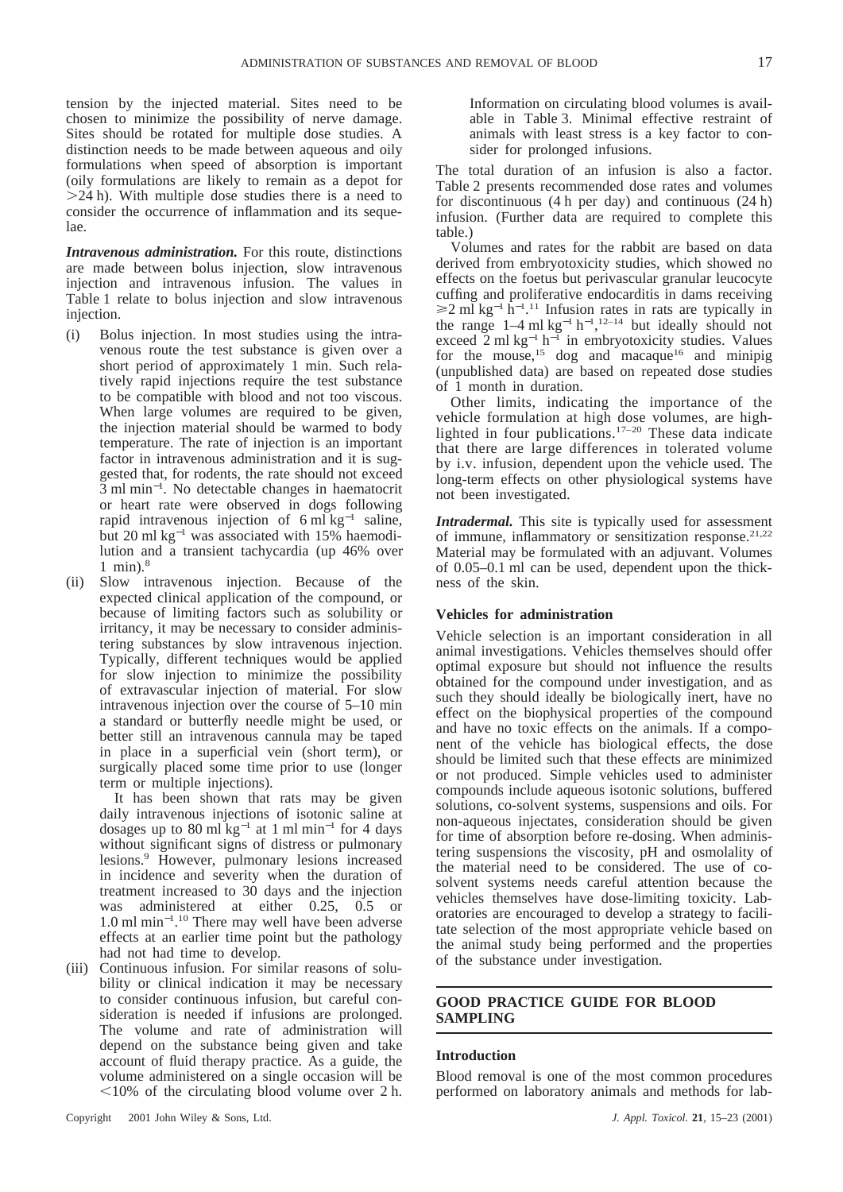tension by the injected material. Sites need to be chosen to minimize the possibility of nerve damage. Sites should be rotated for multiple dose studies. A distinction needs to be made between aqueous and oily formulations when speed of absorption is important (oily formulations are likely to remain as a depot for  $>24$  h). With multiple dose studies there is a need to consider the occurrence of inflammation and its sequelae.

*Intravenous administration.* For this route, distinctions are made between bolus injection, slow intravenous injection and intravenous infusion. The values in Table 1 relate to bolus injection and slow intravenous injection.

- (i) Bolus injection. In most studies using the intravenous route the test substance is given over a short period of approximately 1 min. Such relatively rapid injections require the test substance to be compatible with blood and not too viscous. When large volumes are required to be given, the injection material should be warmed to body temperature. The rate of injection is an important factor in intravenous administration and it is suggested that, for rodents, the rate should not exceed 3 ml min<sup>−</sup><sup>1</sup> . No detectable changes in haematocrit or heart rate were observed in dogs following rapid intravenous injection of  $6 \text{ ml kg}^{-1}$  saline, but 20 ml kg<sup>−</sup><sup>1</sup> was associated with 15% haemodilution and a transient tachycardia (up 46% over 1 min). $8$
- (ii) Slow intravenous injection. Because of the expected clinical application of the compound, or because of limiting factors such as solubility or irritancy, it may be necessary to consider administering substances by slow intravenous injection. Typically, different techniques would be applied for slow injection to minimize the possibility of extravascular injection of material. For slow intravenous injection over the course of 5–10 min a standard or butterfly needle might be used, or better still an intravenous cannula may be taped in place in a superficial vein (short term), or surgically placed some time prior to use (longer term or multiple injections).

It has been shown that rats may be given daily intravenous injections of isotonic saline at dosages up to 80 ml kg<sup>-1</sup> at 1 ml min<sup>-1</sup> for 4 days without significant signs of distress or pulmonary lesions.9 However, pulmonary lesions increased in incidence and severity when the duration of treatment increased to 30 days and the injection was administered at either 0.25, 0.5 or 1.0 ml min<sup>−</sup><sup>1</sup> . <sup>10</sup> There may well have been adverse effects at an earlier time point but the pathology had not had time to develop.

(iii) Continuous infusion. For similar reasons of solubility or clinical indication it may be necessary to consider continuous infusion, but careful consideration is needed if infusions are prolonged. The volume and rate of administration will depend on the substance being given and take account of fluid therapy practice. As a guide, the volume administered on a single occasion will be  $\leq$ 10% of the circulating blood volume over 2 h.

Copyright 2001 John Wiley & Sons, Ltd. *J. Appl. Toxicol.* **21**, 15–23 (2001)

Information on circulating blood volumes is available in Table 3. Minimal effective restraint of animals with least stress is a key factor to consider for prolonged infusions.

The total duration of an infusion is also a factor. Table 2 presents recommended dose rates and volumes for discontinuous (4 h per day) and continuous (24 h) infusion. (Further data are required to complete this table.)

Volumes and rates for the rabbit are based on data derived from embryotoxicity studies, which showed no effects on the foetus but perivascular granular leucocyte cuffing and proliferative endocarditis in dams receiving  $\geq 2$  ml kg<sup>-1</sup> h<sup>-1</sup>.<sup>11</sup> Infusion rates in rats are typically in the range  $1-4$  ml kg<sup>-1</sup> h<sup>-1</sup>,<sup>12-14</sup> but ideally should not exceed 2 ml kg<sup>−</sup><sup>1</sup> h<sup>−</sup><sup>1</sup> in embryotoxicity studies. Values for the mouse,<sup>15</sup> dog and macaque<sup>16</sup> and minipig (unpublished data) are based on repeated dose studies of 1 month in duration.

Other limits, indicating the importance of the vehicle formulation at high dose volumes, are highlighted in four publications.17–20 These data indicate that there are large differences in tolerated volume by i.v. infusion, dependent upon the vehicle used. The long-term effects on other physiological systems have not been investigated.

*Intradermal.* This site is typically used for assessment of immune, inflammatory or sensitization response. $21,22$ Material may be formulated with an adjuvant. Volumes of 0.05–0.1 ml can be used, dependent upon the thickness of the skin.

### **Vehicles for administration**

Vehicle selection is an important consideration in all animal investigations. Vehicles themselves should offer optimal exposure but should not influence the results obtained for the compound under investigation, and as such they should ideally be biologically inert, have no effect on the biophysical properties of the compound and have no toxic effects on the animals. If a component of the vehicle has biological effects, the dose should be limited such that these effects are minimized or not produced. Simple vehicles used to administer compounds include aqueous isotonic solutions, buffered solutions, co-solvent systems, suspensions and oils. For non-aqueous injectates, consideration should be given for time of absorption before re-dosing. When administering suspensions the viscosity, pH and osmolality of the material need to be considered. The use of cosolvent systems needs careful attention because the vehicles themselves have dose-limiting toxicity. Laboratories are encouraged to develop a strategy to facilitate selection of the most appropriate vehicle based on the animal study being performed and the properties of the substance under investigation.

# **GOOD PRACTICE GUIDE FOR BLOOD SAMPLING**

## **Introduction**

Blood removal is one of the most common procedures performed on laboratory animals and methods for lab-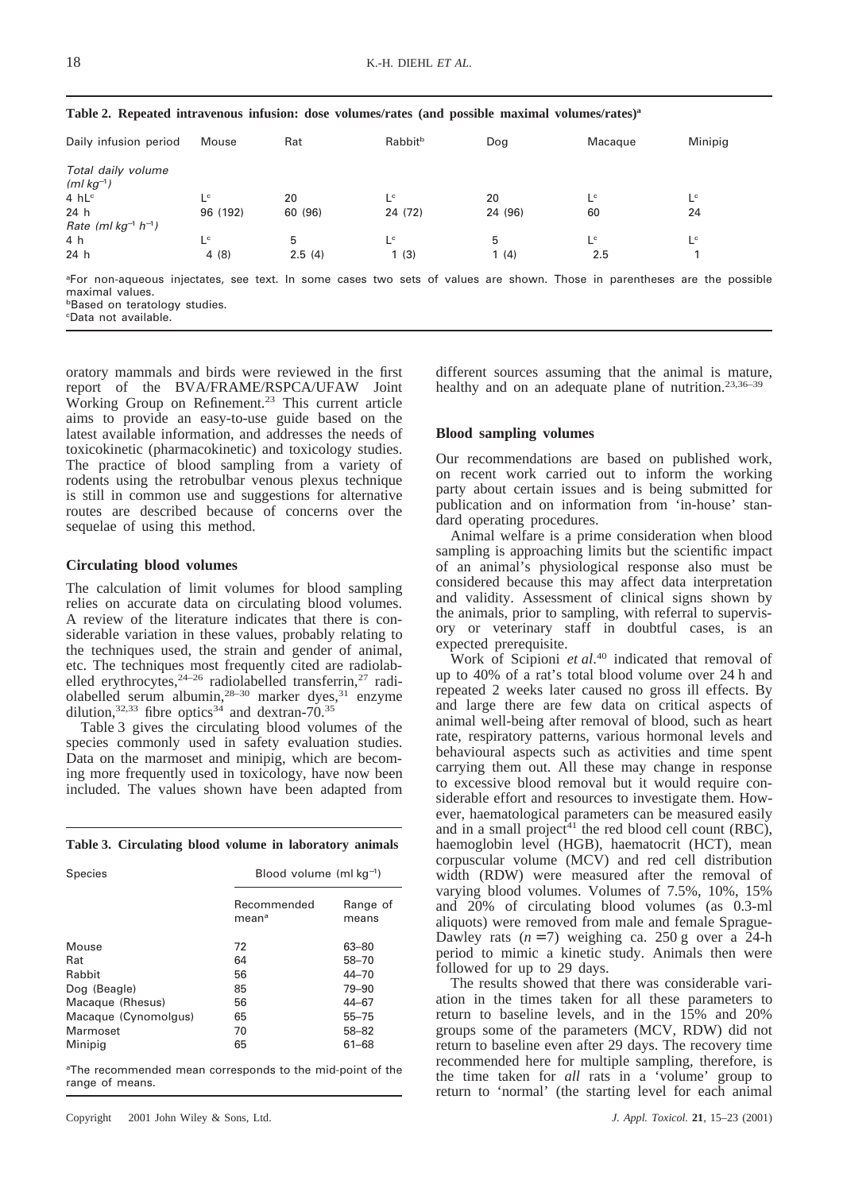| ٠            |
|--------------|
| i<br>۰.<br>v |

| Daily infusion period                | Mouse    | Rat     | Rabbit <sup>b</sup> | Dog     | Macague | Minipig |
|--------------------------------------|----------|---------|---------------------|---------|---------|---------|
| Total daily volume<br>$(ml$ $kg-1$ ) |          |         |                     |         |         |         |
| 4 hL <sup>c</sup>                    | Ιc       | 20      | Ιc                  | 20      | l c     | $L^c$   |
| 24 h                                 | 96 (192) | 60 (96) | 24 (72)             | 24 (96) | 60      | 24      |
| Rate (ml $kg^{-1} h^{-1}$ )          |          |         |                     |         |         |         |
| 4 h                                  | c        | 5       | c                   | 5       | c       | Lc      |
| 24 h                                 | 4(8)     | 2.5(4)  | 1(3)                | 1(4)    | 2.5     |         |
|                                      |          |         |                     |         |         |         |

## **Table 2. Repeated intravenous infusion: dose volumes/rates (and possible maximal volumes/rates)a**

a For non-aqueous injectates, see text. In some cases two sets of values are shown. Those in parentheses are the possible maximal values. **bBased on teratology studies.** 

c Data not available.

oratory mammals and birds were reviewed in the first report of the BVA/FRAME/RSPCA/UFAW Joint Working Group on Refinement.23 This current article aims to provide an easy-to-use guide based on the latest available information, and addresses the needs of toxicokinetic (pharmacokinetic) and toxicology studies. The practice of blood sampling from a variety of rodents using the retrobulbar venous plexus technique is still in common use and suggestions for alternative routes are described because of concerns over the sequelae of using this method.

# **Circulating blood volumes**

The calculation of limit volumes for blood sampling relies on accurate data on circulating blood volumes. A review of the literature indicates that there is considerable variation in these values, probably relating to the techniques used, the strain and gender of animal, etc. The techniques most frequently cited are radiolabelled erythrocytes,  $24-26$  radiolabelled transferrin,  $27$  radiolabelled serum albumin,<sup>28-30</sup> marker dyes,<sup>31</sup> enzyme dilution,  $32,33$  fibre optics  $34$  and dextran-70.  $35$ 

Table 3 gives the circulating blood volumes of the species commonly used in safety evaluation studies. Data on the marmoset and minipig, which are becoming more frequently used in toxicology, have now been included. The values shown have been adapted from

| Table 3. Circulating blood volume in laboratory animals |  |  |  |
|---------------------------------------------------------|--|--|--|
|                                                         |  |  |  |

| <b>Species</b>                         | Blood volume $(mlkg^{-1})$       |                                          |  |  |
|----------------------------------------|----------------------------------|------------------------------------------|--|--|
|                                        | Recommended<br>mean <sup>a</sup> | Range of<br>means                        |  |  |
| Mouse<br>Rat<br>Rabbit<br>Dog (Beagle) | 72<br>64<br>56<br>85             | 63-80<br>58-70<br>$44 - 70$<br>$79 - 90$ |  |  |
| Macaque (Rhesus)                       | 56                               | $44 - 67$                                |  |  |
| Macague (Cynomolgus)                   | 65                               | $55 - 75$                                |  |  |
| Marmoset<br>Minipig                    | 70<br>65                         | 58-82<br>$61 - 68$                       |  |  |

<sup>a</sup>The recommended mean corresponds to the mid-point of the range of means.

different sources assuming that the animal is mature, healthy and on an adequate plane of nutrition.<sup>23,36–39</sup>

# **Blood sampling volumes**

Our recommendations are based on published work, on recent work carried out to inform the working party about certain issues and is being submitted for publication and on information from 'in-house' standard operating procedures.

Animal welfare is a prime consideration when blood sampling is approaching limits but the scientific impact of an animal's physiological response also must be considered because this may affect data interpretation and validity. Assessment of clinical signs shown by the animals, prior to sampling, with referral to supervisory or veterinary staff in doubtful cases, is an expected prerequisite.

Work of Scipioni *et al*. <sup>40</sup> indicated that removal of up to 40% of a rat's total blood volume over 24 h and repeated 2 weeks later caused no gross ill effects. By and large there are few data on critical aspects of animal well-being after removal of blood, such as heart rate, respiratory patterns, various hormonal levels and behavioural aspects such as activities and time spent carrying them out. All these may change in response to excessive blood removal but it would require considerable effort and resources to investigate them. However, haematological parameters can be measured easily and in a small project<sup>41</sup> the red blood cell count (RBC), haemoglobin level (HGB), haematocrit (HCT), mean corpuscular volume (MCV) and red cell distribution width (RDW) were measured after the removal of varying blood volumes. Volumes of 7.5%, 10%, 15% and 20% of circulating blood volumes (as 0.3-ml aliquots) were removed from male and female Sprague-Dawley rats  $(n=7)$  weighing ca. 250 g over a 24-h period to mimic a kinetic study. Animals then were followed for up to 29 days.

The results showed that there was considerable variation in the times taken for all these parameters to return to baseline levels, and in the 15% and 20% groups some of the parameters (MCV, RDW) did not return to baseline even after 29 days. The recovery time recommended here for multiple sampling, therefore, is the time taken for *all* rats in a 'volume' group to return to 'normal' (the starting level for each animal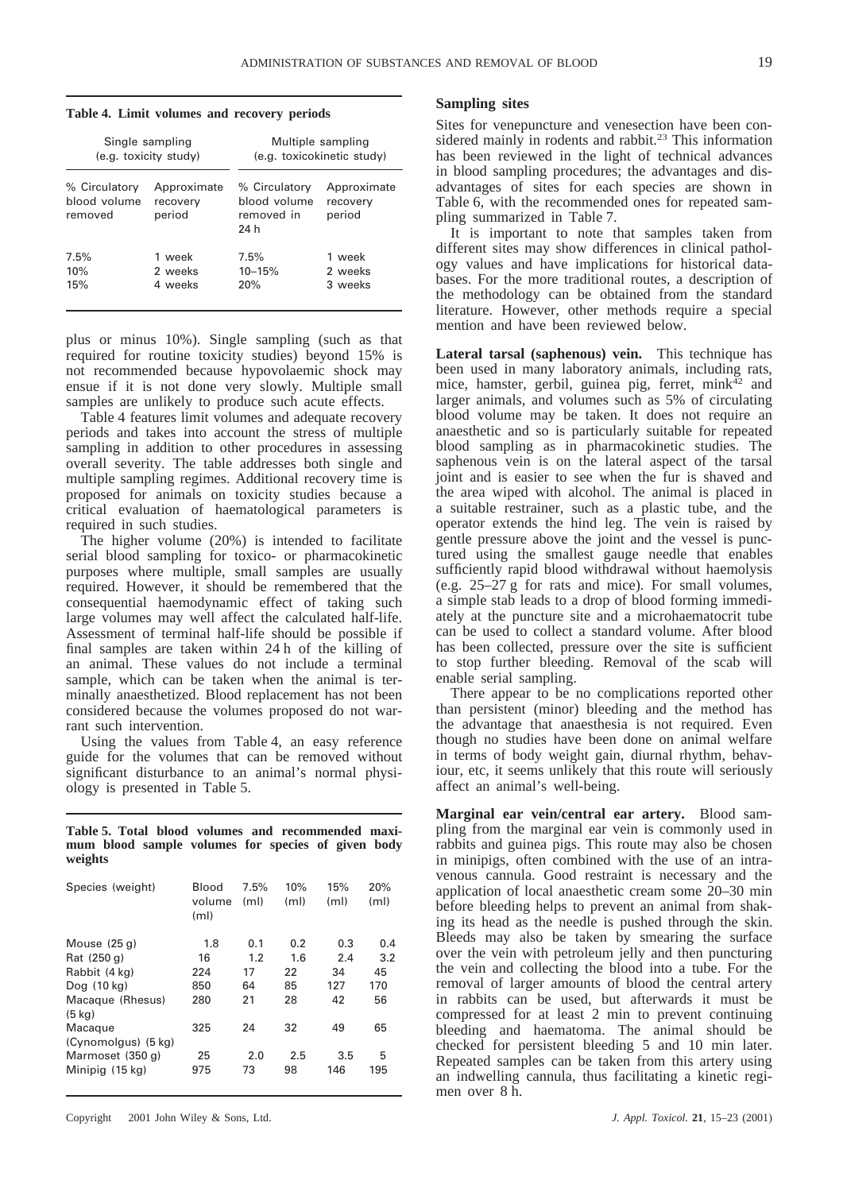#### **Table 4. Limit volumes and recovery periods**

| Single sampling<br>(e.g. toxicity study) |                                   | Multiple sampling<br>(e.g. toxicokinetic study)     |                                   |
|------------------------------------------|-----------------------------------|-----------------------------------------------------|-----------------------------------|
| % Circulatory<br>blood volume<br>removed | Approximate<br>recovery<br>period | % Circulatory<br>blood volume<br>removed in<br>24 h | Approximate<br>recovery<br>period |
| 7.5%<br>10%<br>15%                       | 1 week<br>2 weeks<br>4 weeks      | 7.5%<br>$10 - 15%$<br>20%                           | 1 week<br>2 weeks<br>3 weeks      |

plus or minus 10%). Single sampling (such as that required for routine toxicity studies) beyond 15% is not recommended because hypovolaemic shock may ensue if it is not done very slowly. Multiple small samples are unlikely to produce such acute effects.

Table 4 features limit volumes and adequate recovery periods and takes into account the stress of multiple sampling in addition to other procedures in assessing overall severity. The table addresses both single and multiple sampling regimes. Additional recovery time is proposed for animals on toxicity studies because a critical evaluation of haematological parameters is required in such studies.

The higher volume (20%) is intended to facilitate serial blood sampling for toxico- or pharmacokinetic purposes where multiple, small samples are usually required. However, it should be remembered that the consequential haemodynamic effect of taking such large volumes may well affect the calculated half-life. Assessment of terminal half-life should be possible if final samples are taken within 24 h of the killing of an animal. These values do not include a terminal sample, which can be taken when the animal is terminally anaesthetized. Blood replacement has not been considered because the volumes proposed do not warrant such intervention.

Using the values from Table 4, an easy reference guide for the volumes that can be removed without significant disturbance to an animal's normal physiology is presented in Table 5.

|         |  | Table 5. Total blood volumes and recommended maxi- |  |  |  |
|---------|--|----------------------------------------------------|--|--|--|
|         |  | mum blood sample volumes for species of given body |  |  |  |
| weights |  |                                                    |  |  |  |

| Species (weight)    | <b>Blood</b><br>volume<br>(m <sub>l</sub> ) | 7.5%<br>(m <sub>l</sub> ) | 10%<br>(m <sub>l</sub> ) | 15%<br>(m <sub>l</sub> ) | 20%<br>(m <sub>l</sub> ) |
|---------------------|---------------------------------------------|---------------------------|--------------------------|--------------------------|--------------------------|
| Mouse $(25 g)$      | 1.8                                         | 0.1                       | 0.2                      | 0.3                      | 0.4                      |
| Rat (250 g)         | 16                                          | 1.2                       | 1.6                      | 2.4                      | 3.2                      |
| Rabbit (4 kg)       | 224                                         | 17                        | 22                       | 34                       | 45                       |
| Dog (10 kg)         | 850                                         | 64                        | 85                       | 127                      | 170                      |
| Macaque (Rhesus)    | 280                                         | 21                        | 28                       | 42                       | 56                       |
| $(5 \text{ ka})$    |                                             |                           |                          |                          |                          |
| Macague             | 325                                         | 24                        | 32                       | 49                       | 65                       |
| (Cynomolgus) (5 kg) |                                             |                           |                          |                          |                          |
| Marmoset (350 g)    | 25                                          | 2.0                       | 2.5                      | 3.5                      | 5                        |
| Minipig (15 kg)     | 975                                         | 73                        | 98                       | 146                      | 195                      |
|                     |                                             |                           |                          |                          |                          |

Copyright 2001 John Wiley & Sons, Ltd. *J. Appl. Toxicol.* **21**, 15–23 (2001)

#### **Sampling sites**

Sites for venepuncture and venesection have been considered mainly in rodents and rabbit.<sup>23</sup> This information has been reviewed in the light of technical advances in blood sampling procedures; the advantages and disadvantages of sites for each species are shown in Table 6, with the recommended ones for repeated sampling summarized in Table 7.

It is important to note that samples taken from different sites may show differences in clinical pathology values and have implications for historical databases. For the more traditional routes, a description of the methodology can be obtained from the standard literature. However, other methods require a special mention and have been reviewed below.

**Lateral tarsal (saphenous) vein.** This technique has been used in many laboratory animals, including rats, mice, hamster, gerbil, guinea pig, ferret, mink $42$  and larger animals, and volumes such as 5% of circulating blood volume may be taken. It does not require an anaesthetic and so is particularly suitable for repeated blood sampling as in pharmacokinetic studies. The saphenous vein is on the lateral aspect of the tarsal joint and is easier to see when the fur is shaved and the area wiped with alcohol. The animal is placed in a suitable restrainer, such as a plastic tube, and the operator extends the hind leg. The vein is raised by gentle pressure above the joint and the vessel is punctured using the smallest gauge needle that enables sufficiently rapid blood withdrawal without haemolysis (e.g. 25–27 g for rats and mice). For small volumes, a simple stab leads to a drop of blood forming immediately at the puncture site and a microhaematocrit tube can be used to collect a standard volume. After blood has been collected, pressure over the site is sufficient to stop further bleeding. Removal of the scab will enable serial sampling.

There appear to be no complications reported other than persistent (minor) bleeding and the method has the advantage that anaesthesia is not required. Even though no studies have been done on animal welfare in terms of body weight gain, diurnal rhythm, behaviour, etc, it seems unlikely that this route will seriously affect an animal's well-being.

**Marginal ear vein/central ear artery.** Blood sampling from the marginal ear vein is commonly used in rabbits and guinea pigs. This route may also be chosen in minipigs, often combined with the use of an intravenous cannula. Good restraint is necessary and the application of local anaesthetic cream some 20–30 min before bleeding helps to prevent an animal from shaking its head as the needle is pushed through the skin. Bleeds may also be taken by smearing the surface over the vein with petroleum jelly and then puncturing the vein and collecting the blood into a tube. For the removal of larger amounts of blood the central artery in rabbits can be used, but afterwards it must be compressed for at least 2 min to prevent continuing bleeding and haematoma. The animal should be checked for persistent bleeding 5 and 10 min later. Repeated samples can be taken from this artery using an indwelling cannula, thus facilitating a kinetic regimen over 8 h.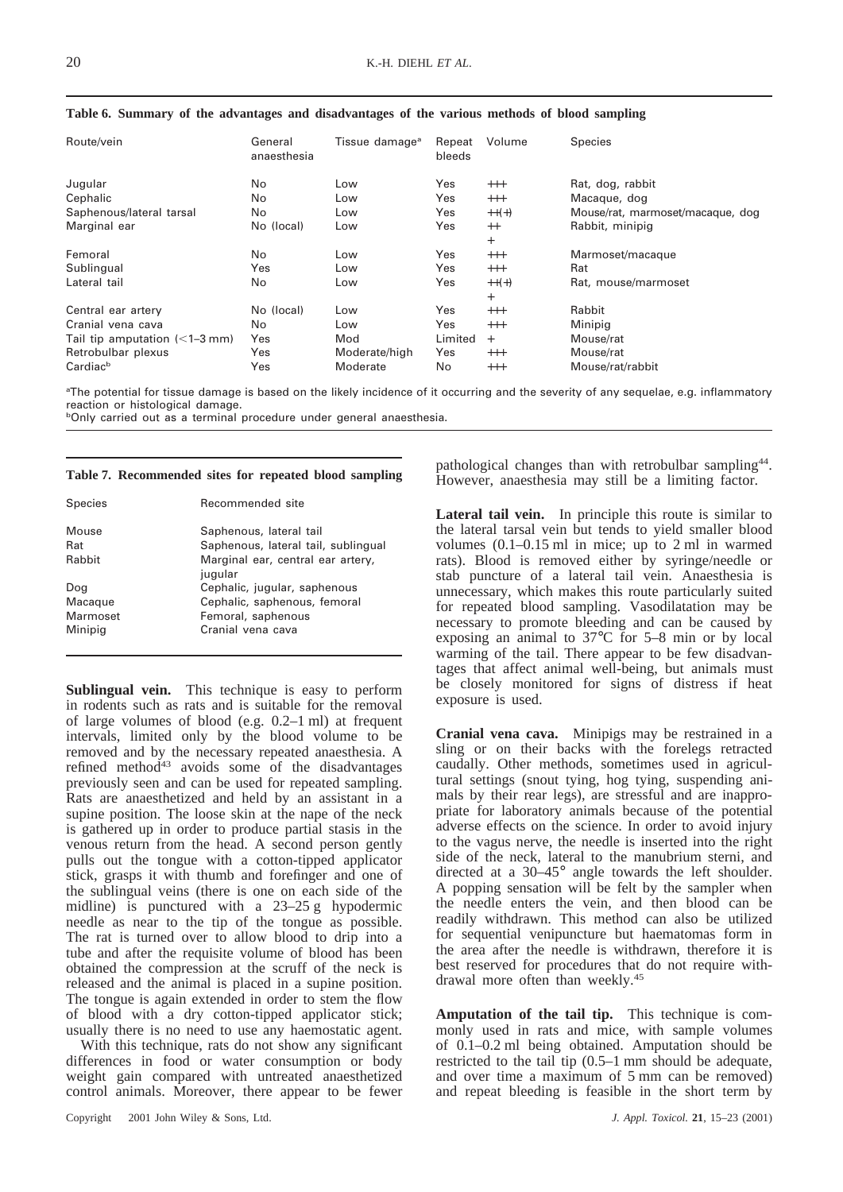| Route/vein                               | General<br>anaesthesia | Tissue damage <sup>a</sup> | Repeat<br>bleeds | Volume            | <b>Species</b>                   |
|------------------------------------------|------------------------|----------------------------|------------------|-------------------|----------------------------------|
| Jugular                                  | No                     | Low                        | Yes              | $^{+++}$          | Rat, dog, rabbit                 |
| Cephalic                                 | No                     | Low                        | Yes              | $^{+++}$          | Macague, dog                     |
| Saphenous/lateral tarsal                 | No                     | Low                        | Yes              | $++(+)$           | Mouse/rat, marmoset/macaque, dog |
| Marginal ear                             | No (local)             | Low                        | Yes              | $^{++}$<br>$^{+}$ | Rabbit, minipig                  |
| Femoral                                  | No                     | Low                        | Yes              | $^{+++}$          | Marmoset/macaque                 |
| Sublingual                               | Yes                    | Low                        | Yes              | $^{+++}$          | Rat                              |
| Lateral tail                             | No                     | Low                        | Yes              | $++(+)$<br>$^{+}$ | Rat, mouse/marmoset              |
| Central ear artery                       | No (local)             | Low                        | Yes              | $^{+++}$          | Rabbit                           |
| Cranial vena cava                        | No                     | Low                        | Yes              | $^{+++}$          | Minipig                          |
| Tail tip amputation $\left($ < 1 - 3 mm) | Yes                    | Mod                        | Limited          | $+$               | Mouse/rat                        |
| Retrobulbar plexus                       | Yes                    | Moderate/high              | Yes              | $^{+++}$          | Mouse/rat                        |
| Cardiac <sup>b</sup>                     | Yes                    | Moderate                   | No               | $^{+++}$          | Mouse/rat/rabbit                 |

# **Table 6. Summary of the advantages and disadvantages of the various methods of blood sampling**

a The potential for tissue damage is based on the likely incidence of it occurring and the severity of any sequelae, e.g. inflammatory reaction or histological damage.

b Only carried out as a terminal procedure under general anaesthesia.

## **Table 7. Recommended sites for repeated blood sampling**

| <b>Species</b> | Recommended site                                               |
|----------------|----------------------------------------------------------------|
| Mouse<br>Rat   | Saphenous, lateral tail<br>Saphenous, lateral tail, sublingual |
| Rabbit         | Marginal ear, central ear artery,<br>jugular                   |
| Dog            | Cephalic, jugular, saphenous                                   |
| Macague        | Cephalic, saphenous, femoral                                   |
| Marmoset       | Femoral, saphenous                                             |
| Minipig        | Cranial vena cava                                              |

**Sublingual vein.** This technique is easy to perform in rodents such as rats and is suitable for the removal of large volumes of blood (e.g. 0.2–1 ml) at frequent intervals, limited only by the blood volume to be removed and by the necessary repeated anaesthesia. A refined method $43$  avoids some of the disadvantages previously seen and can be used for repeated sampling. Rats are anaesthetized and held by an assistant in a supine position. The loose skin at the nape of the neck is gathered up in order to produce partial stasis in the venous return from the head. A second person gently pulls out the tongue with a cotton-tipped applicator stick, grasps it with thumb and forefinger and one of the sublingual veins (there is one on each side of the midline) is punctured with a 23–25 g hypodermic needle as near to the tip of the tongue as possible. The rat is turned over to allow blood to drip into a tube and after the requisite volume of blood has been obtained the compression at the scruff of the neck is released and the animal is placed in a supine position. The tongue is again extended in order to stem the flow of blood with a dry cotton-tipped applicator stick; usually there is no need to use any haemostatic agent.

With this technique, rats do not show any significant differences in food or water consumption or body weight gain compared with untreated anaesthetized control animals. Moreover, there appear to be fewer

Copyright 2001 John Wiley & Sons, Ltd. *J. Appl. Toxicol.* **21**, 15–23 (2001)

pathological changes than with retrobulbar sampling<sup>44</sup>. However, anaesthesia may still be a limiting factor.

**Lateral tail vein.** In principle this route is similar to the lateral tarsal vein but tends to yield smaller blood volumes (0.1–0.15 ml in mice; up to 2 ml in warmed rats). Blood is removed either by syringe/needle or stab puncture of a lateral tail vein. Anaesthesia is unnecessary, which makes this route particularly suited for repeated blood sampling. Vasodilatation may be necessary to promote bleeding and can be caused by exposing an animal to 37°C for 5–8 min or by local warming of the tail. There appear to be few disadvantages that affect animal well-being, but animals must be closely monitored for signs of distress if heat exposure is used.

**Cranial vena cava.** Minipigs may be restrained in a sling or on their backs with the forelegs retracted caudally. Other methods, sometimes used in agricultural settings (snout tying, hog tying, suspending animals by their rear legs), are stressful and are inappropriate for laboratory animals because of the potential adverse effects on the science. In order to avoid injury to the vagus nerve, the needle is inserted into the right side of the neck, lateral to the manubrium sterni, and directed at a 30–45° angle towards the left shoulder. A popping sensation will be felt by the sampler when the needle enters the vein, and then blood can be readily withdrawn. This method can also be utilized for sequential venipuncture but haematomas form in the area after the needle is withdrawn, therefore it is best reserved for procedures that do not require withdrawal more often than weekly.45

**Amputation of the tail tip.** This technique is commonly used in rats and mice, with sample volumes of 0.1–0.2 ml being obtained. Amputation should be restricted to the tail tip (0.5–1 mm should be adequate, and over time a maximum of 5 mm can be removed) and repeat bleeding is feasible in the short term by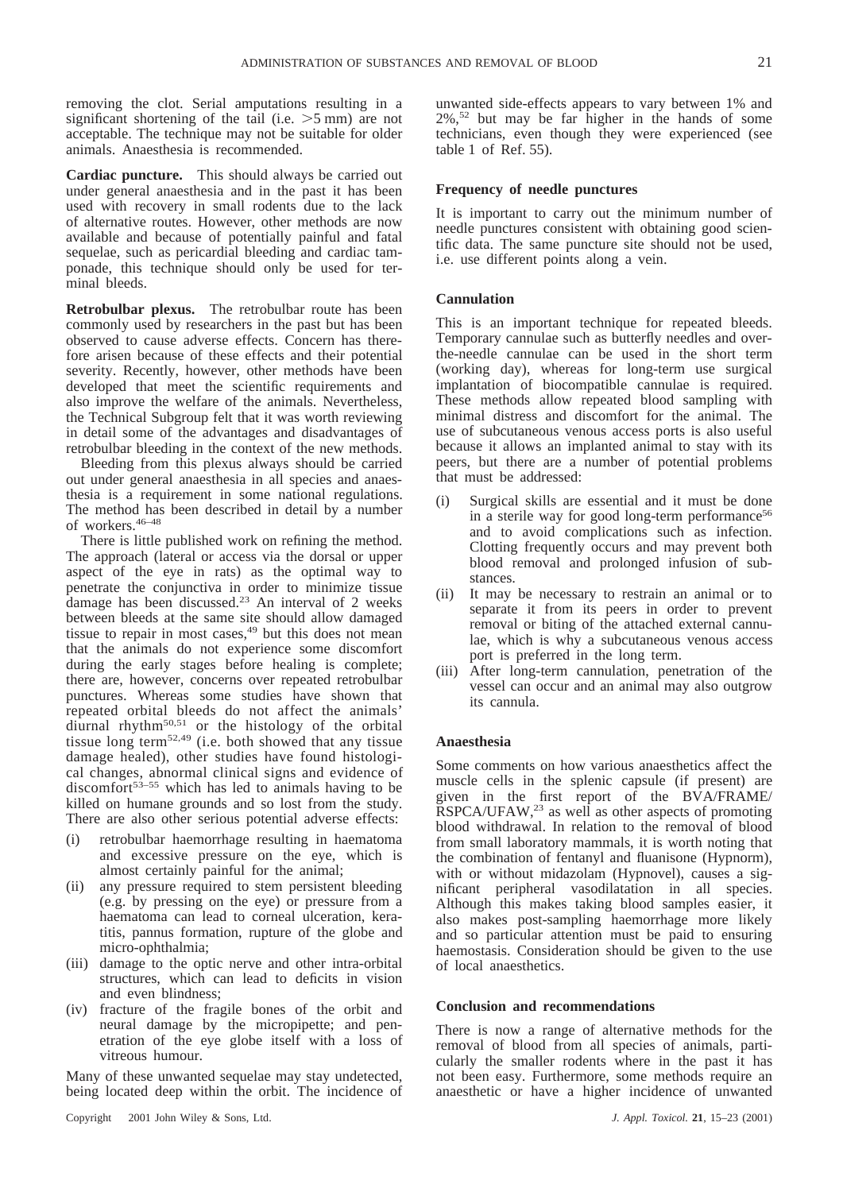removing the clot. Serial amputations resulting in a significant shortening of the tail (i.e.  $>5$  mm) are not acceptable. The technique may not be suitable for older animals. Anaesthesia is recommended.

**Cardiac puncture.** This should always be carried out under general anaesthesia and in the past it has been used with recovery in small rodents due to the lack of alternative routes. However, other methods are now available and because of potentially painful and fatal sequelae, such as pericardial bleeding and cardiac tamponade, this technique should only be used for terminal bleeds.

**Retrobulbar plexus.** The retrobulbar route has been commonly used by researchers in the past but has been observed to cause adverse effects. Concern has therefore arisen because of these effects and their potential severity. Recently, however, other methods have been developed that meet the scientific requirements and also improve the welfare of the animals. Nevertheless, the Technical Subgroup felt that it was worth reviewing in detail some of the advantages and disadvantages of retrobulbar bleeding in the context of the new methods.

Bleeding from this plexus always should be carried out under general anaesthesia in all species and anaesthesia is a requirement in some national regulations. The method has been described in detail by a number of workers.46–48

There is little published work on refining the method. The approach (lateral or access via the dorsal or upper aspect of the eye in rats) as the optimal way to penetrate the conjunctiva in order to minimize tissue damage has been discussed.<sup>23</sup> An interval of 2 weeks between bleeds at the same site should allow damaged tissue to repair in most cases,<sup>49</sup> but this does not mean that the animals do not experience some discomfort during the early stages before healing is complete; there are, however, concerns over repeated retrobulbar punctures. Whereas some studies have shown that repeated orbital bleeds do not affect the animals' diurnal rhythm50,51 or the histology of the orbital tissue long term<sup>52,49</sup> (i.e. both showed that any tissue damage healed), other studies have found histological changes, abnormal clinical signs and evidence of discomfort<sup>53–55</sup> which has led to animals having to be killed on humane grounds and so lost from the study. There are also other serious potential adverse effects:

- (i) retrobulbar haemorrhage resulting in haematoma and excessive pressure on the eye, which is almost certainly painful for the animal;
- (ii) any pressure required to stem persistent bleeding (e.g. by pressing on the eye) or pressure from a haematoma can lead to corneal ulceration, keratitis, pannus formation, rupture of the globe and micro-ophthalmia;
- (iii) damage to the optic nerve and other intra-orbital structures, which can lead to deficits in vision and even blindness;
- (iv) fracture of the fragile bones of the orbit and neural damage by the micropipette; and penetration of the eye globe itself with a loss of vitreous humour.

Many of these unwanted sequelae may stay undetected, being located deep within the orbit. The incidence of unwanted side-effects appears to vary between 1% and  $2\%$ ,<sup>52</sup> but may be far higher in the hands of some technicians, even though they were experienced (see table 1 of Ref. 55).

## **Frequency of needle punctures**

It is important to carry out the minimum number of needle punctures consistent with obtaining good scientific data. The same puncture site should not be used, i.e. use different points along a vein.

## **Cannulation**

This is an important technique for repeated bleeds. Temporary cannulae such as butterfly needles and overthe-needle cannulae can be used in the short term (working day), whereas for long-term use surgical implantation of biocompatible cannulae is required. These methods allow repeated blood sampling with minimal distress and discomfort for the animal. The use of subcutaneous venous access ports is also useful because it allows an implanted animal to stay with its peers, but there are a number of potential problems that must be addressed:

- (i) Surgical skills are essential and it must be done in a sterile way for good long-term performance<sup>56</sup> and to avoid complications such as infection. Clotting frequently occurs and may prevent both blood removal and prolonged infusion of substances.
- (ii) It may be necessary to restrain an animal or to separate it from its peers in order to prevent removal or biting of the attached external cannulae, which is why a subcutaneous venous access port is preferred in the long term.
- (iii) After long-term cannulation, penetration of the vessel can occur and an animal may also outgrow its cannula.

## **Anaesthesia**

Some comments on how various anaesthetics affect the muscle cells in the splenic capsule (if present) are given in the first report of the BVA/FRAME/  $RSPCA/UFAW<sup>23</sup>$  as well as other aspects of promoting blood withdrawal. In relation to the removal of blood from small laboratory mammals, it is worth noting that the combination of fentanyl and fluanisone (Hypnorm), with or without midazolam (Hypnovel), causes a significant peripheral vasodilatation in all species. Although this makes taking blood samples easier, it also makes post-sampling haemorrhage more likely and so particular attention must be paid to ensuring haemostasis. Consideration should be given to the use of local anaesthetics.

# **Conclusion and recommendations**

There is now a range of alternative methods for the removal of blood from all species of animals, particularly the smaller rodents where in the past it has not been easy. Furthermore, some methods require an anaesthetic or have a higher incidence of unwanted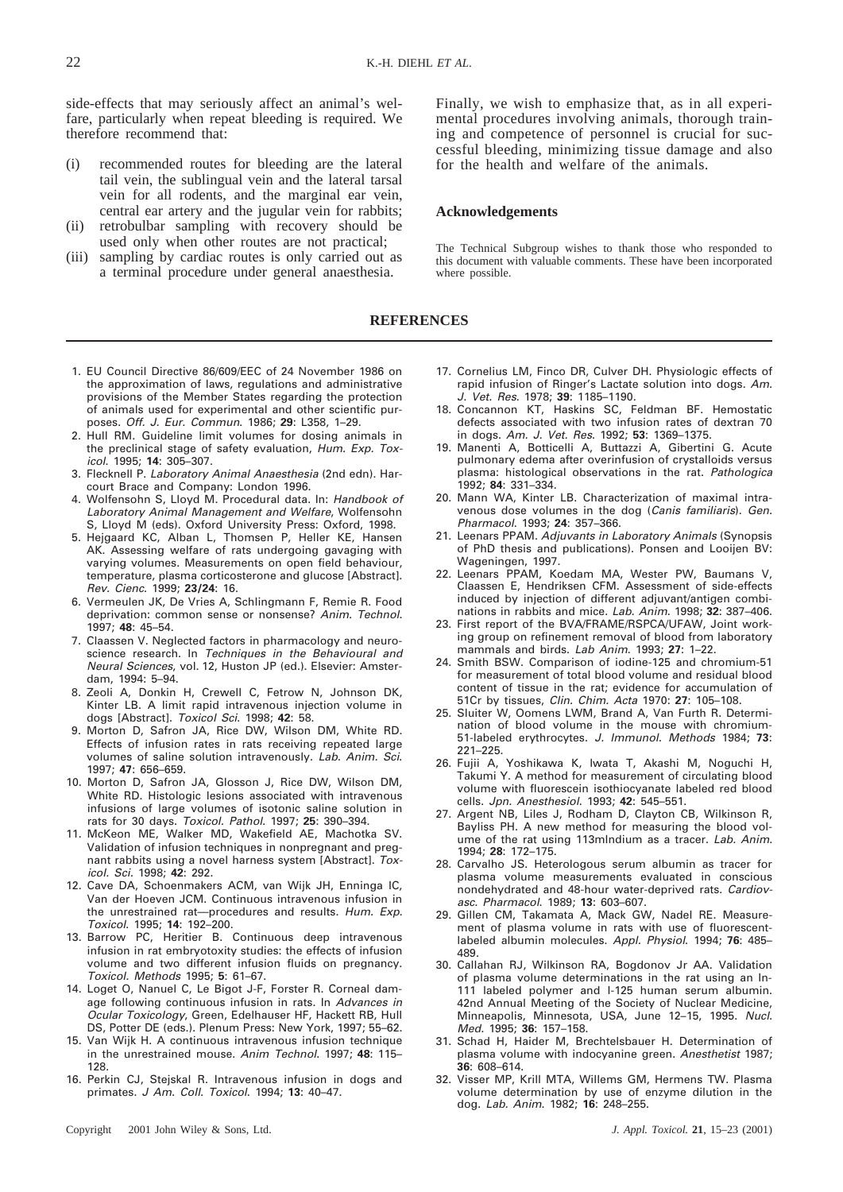side-effects that may seriously affect an animal's welfare, particularly when repeat bleeding is required. We therefore recommend that:

- (i) recommended routes for bleeding are the lateral tail vein, the sublingual vein and the lateral tarsal vein for all rodents, and the marginal ear vein, central ear artery and the jugular vein for rabbits;
- (ii) retrobulbar sampling with recovery should be used only when other routes are not practical;
- (iii) sampling by cardiac routes is only carried out as a terminal procedure under general anaesthesia.

Finally, we wish to emphasize that, as in all experimental procedures involving animals, thorough training and competence of personnel is crucial for successful bleeding, minimizing tissue damage and also for the health and welfare of the animals.

## **Acknowledgements**

The Technical Subgroup wishes to thank those who responded to this document with valuable comments. These have been incorporated where possible.

# **REFERENCES**

- 1. EU Council Directive 86/609/EEC of 24 November 1986 on the approximation of laws, regulations and administrative provisions of the Member States regarding the protection of animals used for experimental and other scientific purposes. Off. J. Eur. Commun. 1986; **29**: L358, 1–29.
- 2. Hull RM. Guideline limit volumes for dosing animals in the preclinical stage of safety evaluation, Hum. Exp. Toxicol. 1995; **14**: 305–307.
- 3. Flecknell P. Laboratory Animal Anaesthesia (2nd edn). Harcourt Brace and Company: London 1996.
- 4. Wolfensohn S, Lloyd M. Procedural data. In: Handbook of Laboratory Animal Management and Welfare, Wolfensohn S, Lloyd M (eds). Oxford University Press: Oxford, 1998.
- 5. Hejgaard KC, Alban L, Thomsen P, Heller KE, Hansen AK. Assessing welfare of rats undergoing gavaging with varying volumes. Measurements on open field behaviour, temperature, plasma corticosterone and glucose [Abstract]. Rev. Cienc. 1999; **23/24**: 16.
- 6. Vermeulen JK, De Vries A, Schlingmann F, Remie R. Food deprivation: common sense or nonsense? Anim. Technol. 1997; **48**: 45–54.
- 7. Claassen V. Neglected factors in pharmacology and neuroscience research. In Techniques in the Behavioural and Neural Sciences, vol. 12, Huston JP (ed.). Elsevier: Amsterdam, 1994: 5–94.
- 8. Zeoli A, Donkin H, Crewell C, Fetrow N, Johnson DK, Kinter LB. A limit rapid intravenous injection volume in dogs [Abstract]. Toxicol Sci. 1998; **42**: 58.
- 9. Morton D, Safron JA, Rice DW, Wilson DM, White RD. Effects of infusion rates in rats receiving repeated large volumes of saline solution intravenously. Lab. Anim. Sci. 1997; **47**: 656–659.
- 10. Morton D, Safron JA, Glosson J, Rice DW, Wilson DM, White RD. Histologic lesions associated with intravenous infusions of large volumes of isotonic saline solution in rats for 30 days. Toxicol. Pathol. 1997; **25**: 390–394.
- 11. McKeon ME, Walker MD, Wakefield AE, Machotka SV. Validation of infusion techniques in nonpregnant and pregnant rabbits using a novel harness system [Abstract]. Toxicol. Sci. 1998; **42**: 292.
- 12. Cave DA, Schoenmakers ACM, van Wijk JH, Enninga IC, Van der Hoeven JCM. Continuous intravenous infusion in the unrestrained rat—procedures and results. Hum. Exp. Toxicol. 1995; **14**: 192–200.
- 13. Barrow PC, Heritier B. Continuous deep intravenous infusion in rat embryotoxity studies: the effects of infusion volume and two different infusion fluids on pregnancy. Toxicol. Methods 1995; **5**: 61–67.
- 14. Loget O, Nanuel C, Le Bigot J-F, Forster R. Corneal damage following continuous infusion in rats. In Advances in Ocular Toxicology, Green, Edelhauser HF, Hackett RB, Hull DS, Potter DE (eds.). Plenum Press: New York, 1997; 55–62.
- 15. Van Wijk H. A continuous intravenous infusion technique in the unrestrained mouse. Anim Technol. 1997; **48**: 115– 128.
- 16. Perkin CJ, Stejskal R. Intravenous infusion in dogs and primates. J Am. Coll. Toxicol. 1994; **13**: 40–47.
- 17. Cornelius LM, Finco DR, Culver DH. Physiologic effects of rapid infusion of Ringer's Lactate solution into dogs. Am. J. Vet. Res. 1978; **39**: 1185–1190.
- 18. Concannon KT, Haskins SC, Feldman BF. Hemostatic defects associated with two infusion rates of dextran 70 in dogs. Am. J. Vet. Res. 1992; **53**: 1369–1375.
- 19. Manenti A, Botticelli A, Buttazzi A, Gibertini G. Acute pulmonary edema after overinfusion of crystalloids versus plasma: histological observations in the rat. Pathologica 1992; **84**: 331–334.
- 20. Mann WA, Kinter LB. Characterization of maximal intravenous dose volumes in the dog (Canis familiaris). Gen. Pharmacol. 1993; **24**: 357–366.
- 21. Leenars PPAM. Adjuvants in Laboratory Animals (Synopsis of PhD thesis and publications). Ponsen and Looijen BV: Wageningen, 1997.
- 22. Leenars PPAM, Koedam MA, Wester PW, Baumans V, Claassen E, Hendriksen CFM. Assessment of side-effects induced by injection of different adjuvant/antigen combinations in rabbits and mice. Lab. Anim. 1998; **32**: 387–406.
- 23. First report of the BVA/FRAME/RSPCA/UFAW, Joint working group on refinement removal of blood from laboratory mammals and birds. Lab Anim. 1993; **27**: 1–22.
- 24. Smith BSW. Comparison of iodine-125 and chromium-51 for measurement of total blood volume and residual blood content of tissue in the rat; evidence for accumulation of 51Cr by tissues, Clin. Chim. Acta 1970: **27**: 105–108.
- 25. Sluiter W, Oomens LWM, Brand A, Van Furth R. Determination of blood volume in the mouse with chromium-51-labeled erythrocytes. J. Immunol. Methods 1984; **73**: 221–225.
- 26. Fujii A, Yoshikawa K, Iwata T, Akashi M, Noguchi H, Takumi Y. A method for measurement of circulating blood volume with fluorescein isothiocyanate labeled red blood cells. Jpn. Anesthesiol. 1993; **42**: 545–551.
- 27. Argent NB, Liles J, Rodham D, Clayton CB, Wilkinson R, Bayliss PH. A new method for measuring the blood volume of the rat using 113mIndium as a tracer. Lab. Anim. 1994; **28**: 172–175.
- 28. Carvalho JS. Heterologous serum albumin as tracer for plasma volume measurements evaluated in conscious nondehydrated and 48-hour water-deprived rats. Cardiovasc. Pharmacol. 1989; **13**: 603–607.
- 29. Gillen CM, Takamata A, Mack GW, Nadel RE. Measurement of plasma volume in rats with use of fluorescentlabeled albumin molecules. Appl. Physiol. 1994; **76**: 485– 489.
- 30. Callahan RJ, Wilkinson RA, Bogdonov Jr AA. Validation of plasma volume determinations in the rat using an In-111 labeled polymer and I-125 human serum albumin. 42nd Annual Meeting of the Society of Nuclear Medicine, Minneapolis, Minnesota, USA, June 12–15, 1995. Nucl. Med. 1995; **36**: 157–158.
- 31. Schad H, Haider M, Brechtelsbauer H. Determination of plasma volume with indocyanine green. Anesthetist 1987; **36**: 608–614.
- 32. Visser MP, Krill MTA, Willems GM, Hermens TW. Plasma volume determination by use of enzyme dilution in the dog. Lab. Anim. 1982; **16**: 248–255.